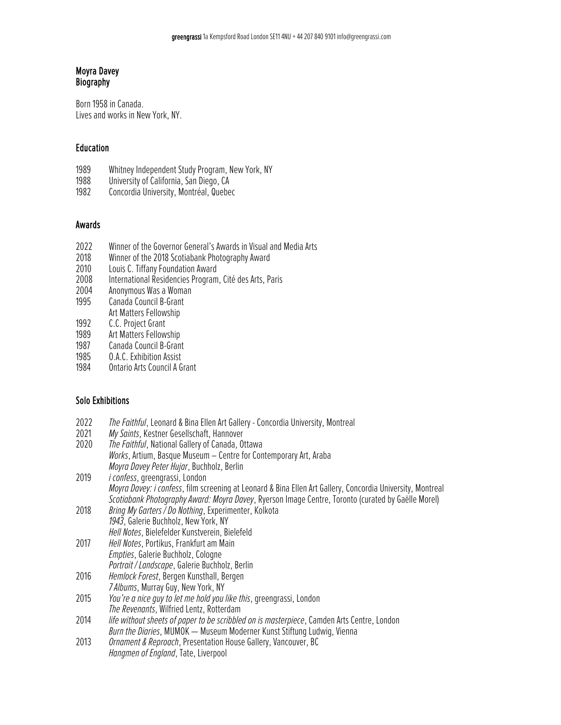#### Moyra Davey Biography

Born 1958 in Canada. Lives and works in New York, NY.

### Education

- 1989 Whitney Independent Study Program, New York, NY<br>1988 University of California, San Diego, CA
- 1988 University of California, San Diego, CA<br>1982 Concordia University, Montréal, Quebe
- Concordia University, Montréal, Quebec

#### Awards

- 2022 Winner of the Governor General's Awards in Visual and Media Arts<br>2018 Winner of the 2018 Scotiabank Photography Award
- 2018 Winner of the 2018 Scotiabank Photography Award<br>2010 Louis C. Tiffany Foundation Award
- 2010 Louis C. Tiffany Foundation Award<br>2008 International Residencies Program
- International Residencies Program, Cité des Arts, Paris
- 2004 Anonymous Was a Woman
- Canada Council B-Grant Art Matters Fellowship
- 
- 1992 C.C. Project Grant<br>1989 Art Matters Fellow Art Matters Fellowship
- 1987 Canada Council B-Grant
- 
- 1985 O.A.C. Exhibition Assist<br>1984 Ontario Arts Council A G 1984 Ontario Arts Council A Grant

#### Solo Exhibitions

- 2022 *The Faithful*, Leonard & Bina Ellen Art Gallery -Concordia University, Montreal
- 2021 *My Saints*, Kestner Gesellschaft, Hannover
- *The Faithful*, National Gallery of Canada, Ottawa *Works*, Artium, Basque Museum – Centre for Contemporary Art, Araba *Moyra Davey Peter Hujar*, Buchholz, Berlin
- 2019 *i confess*, greengrassi, London *Moyra Davey: i confess*, film screening at Leonard & Bina Ellen Art Gallery, Concordia University, Montreal *Scotiabank Photography Award: Moyra Davey*, Ryerson Image Centre, Toronto(curated by Gaëlle Morel)
- 2018 *Bring My Garters / Do Nothing*, Experimenter, Kolkota *1943*, Galerie Buchholz, New York, NY
- *Hell Notes*, Bielefelder Kunstverein, Bielefeld 2017 *Hell Notes*, Portikus, Frankfurt am Main *Empties*, Galerie Buchholz, Cologne
- *Portrait / Landscape*, Galerie Buchholz, Berlin 2016 *Hemlock Forest*, Bergen Kunsthall, Bergen
- *7 Albums*, Murray Guy, New York, NY
- 2015 *You're a nice guy to let me hold you like this*, greengrassi, London *The Revenants*, Wilfried Lentz, Rotterdam
- 2014 *life without sheets of paper to be scribbled on is masterpiece*, Camden Arts Centre, London *Burn the Diaries*, MUMOK — Museum Moderner Kunst Stiftung Ludwig, Vienna
- 2013 *Ornament & Reproach*, Presentation House Gallery, Vancouver, BC *Hangmen of England*, Tate, Liverpool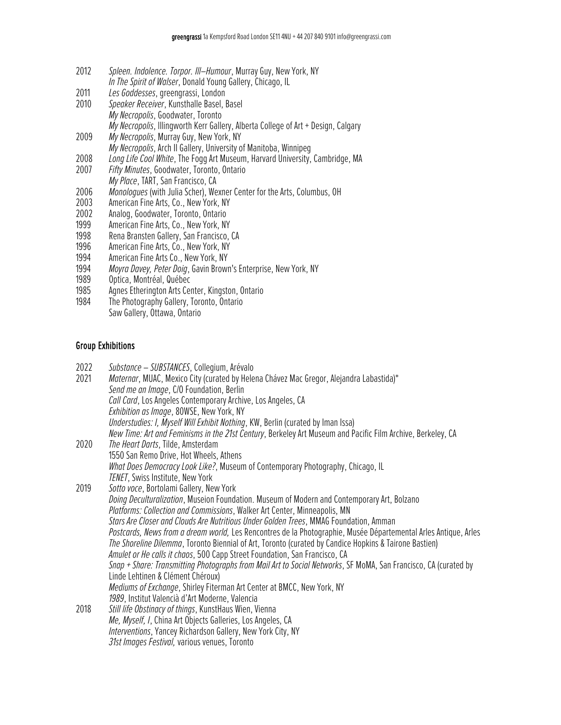- 2012 *Spleen. Indolence. Torpor. Ill–Humour*, Murray Guy, New York, NY *In The Spirit of Walser*, Donald Young Gallery, Chicago, IL
- 2011 *Les Goddesses*, greengrassi, London
- 2010 *Speaker Receiver*, Kunsthalle Basel, Basel *My Necropolis*, Goodwater, Toronto *My Necropolis*, lllingworth Kerr Gallery, Alberta College of Art + Design, Calgary
- 2009 *My Necropolis*, Murray Guy, New York, NY
- *My Necropolis*, Arch II Gallery, University of Manitoba, Winnipeg
- 2008 *Long Life Cool White*, The Fogg Art Museum, Harvard University, Cambridge, MA
- 2007 *Fifty Minutes*, Goodwater, Toronto, Ontario *My Place*, TART, San Francisco, CA
- 2006 *Monologues* (with Julia Scher), Wexner Center for the Arts, Columbus, OH
- 2003 American Fine Arts, Co., New York, NY
- 2002 Analog, Goodwater, Toronto, Ontario<br>1999 American Fine Arts. Co., New York, NY
- 1999 American Fine Arts, Co., New York, NY<br>1998 Rena Bransten Gallery, San Francisco,
- 1998 Rena Bransten Gallery, San Francisco, CA<br>1996 American Fine Arts. Co., New York. NY
- 1996 American Fine Arts, Co., New York, NY<br>1994 American Fine Arts Co., New York, NY
- American Fine Arts Co., New York, NY
- 1994 *Moyra Davey, Peter Doig*, Gavin Brown's Enterprise, New York, NY
- Optica, Montréal, Québec
- 1985 Agnes Etherington Arts Center, Kingston, Ontario<br>1984 The Photography Gallery, Toronto, Ontario
- The Photography Gallery, Toronto, Ontario Saw Gallery, Ottawa, Ontario

## Group Exhibitions

| 2022<br>2021 | Substance - SUBSTANCES, Collegium, Arévalo<br>Maternar, MUAC, Mexico City (curated by Helena Chávez Mac Gregor, Alejandra Labastida)*<br>Send me an Image, C/O Foundation, Berlin<br>Call Card, Los Angeles Contemporary Archive, Los Angeles, CA<br>Exhibition as Image, 80WSE, New York, NY<br>Understudies: I, Myself Will Exhibit Nothing, KW, Berlin (curated by Iman Issa)<br>New Time: Art and Feminisms in the 21st Century, Berkeley Art Museum and Pacific Film Archive, Berkeley, CA                                                                                                                                                                                                                                                                                                                                                                                                              |
|--------------|--------------------------------------------------------------------------------------------------------------------------------------------------------------------------------------------------------------------------------------------------------------------------------------------------------------------------------------------------------------------------------------------------------------------------------------------------------------------------------------------------------------------------------------------------------------------------------------------------------------------------------------------------------------------------------------------------------------------------------------------------------------------------------------------------------------------------------------------------------------------------------------------------------------|
| 2020         | The Heart Darts, Tilde, Amsterdam<br>1550 San Remo Drive, Hot Wheels, Athens<br>What Does Democracy Look Like?, Museum of Contemporary Photography, Chicago, IL<br>TENET, Swiss Institute, New York                                                                                                                                                                                                                                                                                                                                                                                                                                                                                                                                                                                                                                                                                                          |
| 2019         | Sotto voce, Bortolami Gallery, New York<br>Doing Deculturalization, Museion Foundation. Museum of Modern and Contemporary Art, Bolzano<br>Platforms: Collection and Commissions, Walker Art Center, Minneapolis, MN<br>Stars Are Closer and Clouds Are Nutritious Under Golden Trees, MMAG Foundation, Amman<br>Postcards, News from a dream world, Les Rencontres de la Photographie, Musée Départemental Arles Antique, Arles<br>The Shoreline Dilemma, Toronto Biennial of Art, Toronto (curated by Candice Hopkins & Tairone Bastien)<br>Amulet or He calls it chaos, 500 Capp Street Foundation, San Francisco, CA<br>Snap + Share: Transmitting Photographs from Mail Art to Social Networks, SF MoMA, San Francisco, CA (curated by<br>Linde Lehtinen & Clément Chéroux)<br>Mediums of Exchange, Shirley Fiterman Art Center at BMCC, New York, NY<br>1989, Institut Valencià d'Art Moderne, Valencia |
| 2018         | Still life Obstinacy of things, KunstHaus Wien, Vienna<br>Me, Myself, I, China Art Objects Galleries, Los Angeles, CA<br>Interventions, Yancey Richardson Gallery, New York City, NY<br>31st Images Festival, various venues, Toronto                                                                                                                                                                                                                                                                                                                                                                                                                                                                                                                                                                                                                                                                        |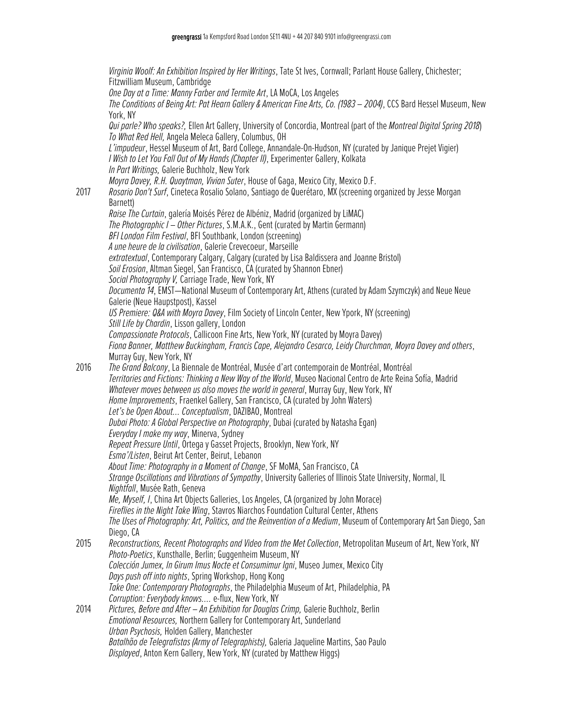*Virginia Woolf: An Exhibition Inspired by Her Writings*, Tate St Ives, Cornwall; Parlant House Gallery, Chichester; Fitzwilliam Museum, Cambridge **One Day at a Time: Manny Farber and Termite Art, LA MoCA, Los Angeles** *The Conditions of Being Art: Pat Hearn Gallery & American Fine Arts, Co. (1983 – 2004)*, CCS Bard Hessel Museum, New York, NY *Qui parle? Who speaks?,* Ellen Art Gallery, University of Concordia, Montreal (part of the *Montreal Digital Spring 2018*) *To What Red Hell,* Angela Meleca Gallery, Columbus, OH *L'impudeur*, Hessel Museum of Art, Bard College, Annandale-On-Hudson, NY (curated by Janique Prejet Vigier) *I Wish to Let You Fall Out of My Hands (Chapter II)*, Experimenter Gallery, Kolkata *In Part Writings,* Galerie Buchholz, New York *Moyra Davey, R.H. Quaytman, VivianSuter*, House of Gaga, Mexico City, Mexico D.F. 2017 *Rosario Don't Surf*, Cineteca Rosalio Solano, Santiago de Querétaro, MX (screeningorganized by Jesse Morgan Barnett) *Raise The Curtain*, galería Moisés Pérez de Albéniz, Madrid (organized by LiMAC) *The Photographic I – Other Pictures, S.M.A.K., Gent (curated by Martin Germann) BFI London Film Festival*, BFI Southbank, London (screening) *A une heure de la civilisation*, Galerie Crevecoeur, Marseille *extratextual*, Contemporary Calgary, Calgary (curated by Lisa Baldissera and Joanne Bristol) *Soil Erosion*, Altman Siegel, San Francisco, CA (curated by Shannon Ebner) Social Photography V, Carriage Trade, New York, NY *Documenta 14*, EMST—National Museum of Contemporary Art, Athens (curated by Adam Szymczyk)and Neue Neue Galerie (Neue Haupstpost), Kassel US Premiere: Q&A with Moyra Davey, Film Society of Lincoln Center, New Ypork, NY (screening) *Still Life by Chardin*, Lisson gallery, London *Compassionate Protocols*, Callicoon Fine Arts, New York, NY (curated by Moyra Davey) *Fiona Banner, Matthew Buckingham, Francis Cape, Alejandro Cesarco, Leidy Churchman, Moyra Davey andothers*, Murray Guy, New York, NY 2016 *The Grand Balcony*, La Biennale de Montréal, Musée d'art contemporain de Montréal, Montréal *Territories and Fictions: Thinking a New Way of the World*, Museo Nacional Centro de Arte Reina Sofía, Madrid *Whatever moves between us also moves the world in general*, Murray Guy, New York, NY *Home Improvements*, Fraenkel Gallery, San Francisco, CA (curated by John Waters) *Let's be Open About… Conceptualism*, DAZIBAO, Montreal *Dubai Photo: A Global Perspective on Photography*, Dubai (curated by Natasha Egan) *Everyday I make my way*, Minerva, Sydney *RepeatPressure Until*, Ortega y Gasset Projects, Brooklyn, New York, NY *Esma'/Listen*, Beirut Art Center, Beirut, Lebanon *About Time: Photography in a Moment of Change*, SF MoMA, SanFrancisco, CA *Strange Oscillations and Vibrations of Sympathy*, University Galleries of Illinois State University, Normal, IL *Nightfall*, Musée Rath, Geneva *Me, Myself, I*, China Art Objects Galleries, Los Angeles, CA (organized by John Morace) *Fireflies in the Night Take Wing*, Stavros Niarchos Foundation Cultural Center, Athens *The Uses of Photography: Art, Politics, and the Reinvention of a Medium*, Museum ofContemporary Art San Diego, San Diego, CA 2015 *Reconstructions,RecentPhotographsandVideofrom the MetCollection*, Metropolitan Museum of Art, New York, NY **Photo-Poetics, Kunsthalle, Berlin; Guggenheim Museum, NY** *Colección Jumex, In Girum Imus Nocte et Consumimur Igni*, Museo Jumex, Mexico City *Days push off into nights*, Spring Workshop, Hong Kong *Take One: Contemporary Photographs*, the Philadelphia Museum of Art, Philadelphia, PA *Corruption: Everybody knows….*e-flux, New York, NY 2014 *Pictures, Before and After – An Exhibition for Douglas Crimp,* Galerie Buchholz, Berlin *Emotional Resources,* Northern Gallery for Contemporary Art, Sunderland *Urban Psychosis,* Holden Gallery, Manchester *Batalhão de Telegrafistas (Army of Telegraphists),* Galeria Jaqueline Martins, Sao Paulo *Displayed*, Anton Kern Gallery, New York, NY (curated by Matthew Higgs)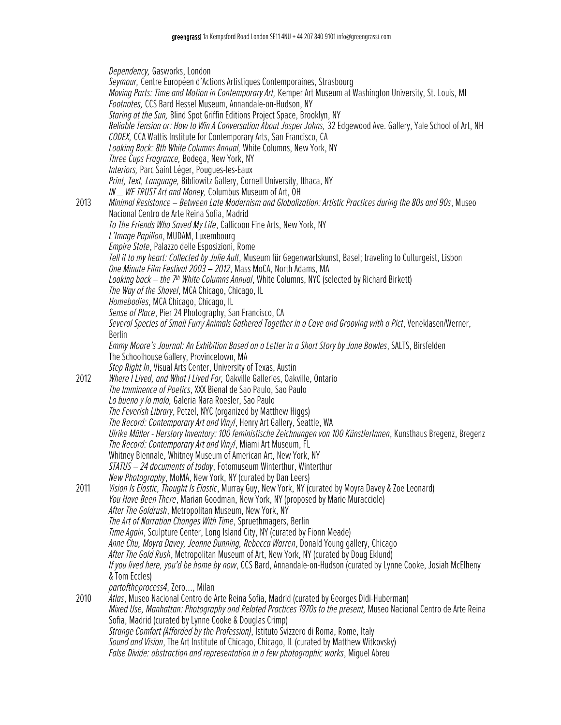*Dependency,* Gasworks, London *Seymour,* Centre Européen d'Actions Artistiques Contemporaines, Strasbourg *Moving Parts: Time and Motion in Contemporary Art,* Kemper Art Museum at Washington University, St. Louis, MI *Footnotes,* CCS Bard Hessel Museum, Annandale-on-Hudson, NY *Staring at the Sun*, Blind Spot Griffin Editions Project Space, Brooklyn, NY *Reliable Tension or: How to Win A Conversation About Jasper Johns,* 32 Edgewood Ave. Gallery, Yale School of Art, NH *CODEX,* CCA Wattis Institute for Contemporary Arts, San Francisco, CA *Looking Back: 8th White Columns Annual,* White Columns, New York, NY *Three Cups Fragrance,* Bodega, New York, NY *Interiors,* Parc Saint Léger, Pougues-les-Eaux *Print, Text, Language,* Bibliowitz Gallery, Cornell University, Ithaca, NY *IN \_\_ WE TRUST Art and Money, Columbus Museum of Art, OH* 2013 *Minimal Resistance – Between Late Modernism and Globalization: Artistic Practices during the 80s and 90s*, Museo Nacional Centro de Arte Reina Sofia, Madrid *To The Friends Who Saved My Life*, Callicoon Fine Arts, New York, NY *L'Image Papillon*, MUDAM, Luxembourg *Empire State*, Palazzo delle Esposizioni, Rome Tell it to my heart: Collected by Julie Ault, Museum für Gegenwartskunst, Basel; traveling to Culturgeist, Lisbon *One Minute Film Festival 2003 – 2012*, Mass MoCA, North Adams, MA *Looking back – the 7th White Columns Annual*, White Columns, NYC (selected by Richard Birkett) *The Way of the Shovel*, MCA Chicago, Chicago, IL *Homebodies*, MCA Chicago, Chicago, IL *Sense of Place*, Pier 24 Photography, San Francisco, CA *Several Species of Small Furry Animals Gathered Together in a Cave and Grooving with a Pict*, Veneklasen/Werner, Berlin *Emmy Moore's Journal: AnExhibition Basedon a Letter in a Short Story by Jane Bowles*, SALTS, Birsfelden The Schoolhouse Gallery, Provincetown, MA *Step Right In*, Visual Arts Center, University of Texas, Austin 2012 *Where I Lived, and What I Lived For,* Oakville Galleries, Oakville, Ontario *The Imminence of Poetics*, XXX Bienal de Sao Paulo, Sao Paulo Lo bueno y lo malo, Galeria Nara Roesler, Sao Paulo *The Feverish Library*, Petzel, NYC (organized by Matthew Higgs) *The Record: Contemporary Art and Vinyl*, Henry Art Gallery, Seattle, WA *Ulrike Müller - Herstory Inventory: 100 feministische Zeichnungen von 100 KünstlerInnen*, Kunsthaus Bregenz, Bregenz *The Record: Contemporary Art and Vinyl*, Miami Art Museum, FL Whitney Biennale, Whitney Museum of American Art, New York, NY *STATUS – 24 documents of today*, Fotomuseum Winterthur, Winterthur *New Photography*, MoMA, New York, NY (curated by Dan Leers) 2011 *Vision Is Elastic, Thought Is Elastic*, Murray Guy, New York, NY (curated by Moyra Davey & Zoe Leonard) *You Have Been There*, Marian Goodman, New York, NY (proposed by Marie Muracciole) *After The Goldrush*, Metropolitan Museum, New York, NY *The Art of Narration Changes With Time*, Spruethmagers, Berlin *Time Again*, Sculpture Center, Long Island City, NY (curated by Fionn Meade) *Anne Chu, Moyra Davey, Jeanne Dunning, Rebecca Warren*, Donald Young gallery, Chicago After The Gold Rush, Metropolitan Museum of Art, New York, NY (curated by Doug Eklund) *If you lived here, you'd be home by now*, CCS Bard, Annandale-on-Hudson(curated by Lynne Cooke, Josiah McElheny &Tom Eccles) *partoftheprocess4*, Zero..., Milan 2010 *Atlas*, Museo Nacional Centro de Arte Reina Sofia, Madrid(curated by Georges Didi-Huberman) *Mixed Use, Manhattan: Photography and Related Practices 1970s to the present,* Museo Nacional Centro de Arte Reina Sofia, Madrid (curated by Lynne Cooke & Douglas Crimp) *Strange Comfort (Afforded by the Profession)*, Istituto Svizzero di Roma, Rome, Italy *Sound and Vision*, The Art Institute of Chicago, Chicago, IL (curated by Matthew Witkovsky) *False Divide: abstraction and representation in a few photographic works*, Miguel Abreu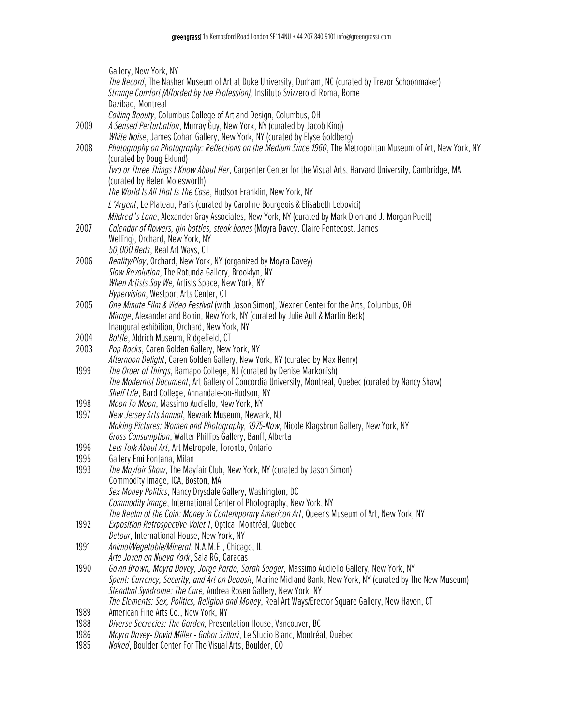|              | Gallery, New York, NY                                                                                                                                                                 |
|--------------|---------------------------------------------------------------------------------------------------------------------------------------------------------------------------------------|
|              | The Record, The Nasher Museum of Art at Duke University, Durham, NC (curated by Trevor Schoonmaker)<br>Strange Comfort (Afforded by the Profession), Instituto Svizzero di Roma, Rome |
|              | Dazibao, Montreal                                                                                                                                                                     |
|              | Calling Beauty, Columbus College of Art and Design, Columbus, OH                                                                                                                      |
| 2009         | A Sensed Perturbation, Murray Guy, New York, NY (curated by Jacob King)                                                                                                               |
|              | White Noise, James Cohan Gallery, New York, NY (curated by Elyse Goldberg)                                                                                                            |
| 2008         | Photography on Photography: Reflections on the Medium Since 1960, The Metropolitan Museum of Art, New York, NY                                                                        |
|              | (curated by Doug Eklund)                                                                                                                                                              |
|              | Two or Three Things I Know About Her, Carpenter Center for the Visual Arts, Harvard University, Cambridge, MA                                                                         |
|              | (curated by Helen Molesworth)                                                                                                                                                         |
|              | The World Is All That Is The Case, Hudson Franklin, New York, NY                                                                                                                      |
|              | L'Argent, Le Plateau, Paris (curated by Caroline Bourgeois & Elisabeth Lebovici)                                                                                                      |
|              | Mildred's Lane, Alexander Gray Associates, New York, NY (curated by Mark Dion and J. Morgan Puett)                                                                                    |
| 2007         | Calendar of flowers, gin bottles, steak bones (Moyra Davey, Claire Pentecost, James                                                                                                   |
|              | Welling), Orchard, New York, NY                                                                                                                                                       |
|              | 50,000 Beds, Real Art Ways, CT                                                                                                                                                        |
| 2006         | Reality/Play, Orchard, New York, NY (organized by Moyra Davey)                                                                                                                        |
|              | Slow Revolution, The Rotunda Gallery, Brooklyn, NY                                                                                                                                    |
|              | When Artists Say We, Artists Space, New York, NY                                                                                                                                      |
|              | Hypervision, Westport Arts Center, CT                                                                                                                                                 |
| 2005         | One Minute Film & Video Festival (with Jason Simon), Wexner Center for the Arts, Columbus, OH                                                                                         |
|              | Mirage, Alexander and Bonin, New York, NY (curated by Julie Ault & Martin Beck)                                                                                                       |
|              | Inaugural exhibition, Orchard, New York, NY                                                                                                                                           |
| 2004         | Bottle, Aldrich Museum, Ridgefield, CT                                                                                                                                                |
| 2003         | Pop Rocks, Caren Golden Gallery, New York, NY                                                                                                                                         |
|              | Afternoon Delight, Caren Golden Gallery, New York, NY (curated by Max Henry)                                                                                                          |
| 1999         | The Order of Things, Ramapo College, NJ (curated by Denise Markonish)                                                                                                                 |
|              | The Modernist Document, Art Gallery of Concordia University, Montreal, Quebec (curated by Nancy Shaw)                                                                                 |
|              | Shelf Life, Bard College, Annandale-on-Hudson, NY                                                                                                                                     |
| 1998         | Moon To Moon, Massimo Audiello, New York, NY                                                                                                                                          |
| 1997         | New Jersey Arts Annual, Newark Museum, Newark, NJ                                                                                                                                     |
|              | Making Pictures: Women and Photography, 1975-Now, Nicole Klagsbrun Gallery, New York, NY                                                                                              |
|              | Gross Consumption, Walter Phillips Gallery, Banff, Alberta                                                                                                                            |
| 1996         | Lets Talk About Art, Art Metropole, Toronto, Ontario                                                                                                                                  |
| 1995<br>1993 | Gallery Emi Fontana, Milan<br>The Mayfair Show, The Mayfair Club, New York, NY (curated by Jason Simon)                                                                               |
|              | Commodity Image, ICA, Boston, MA                                                                                                                                                      |
|              | Sex Money Politics, Nancy Drysdale Gallery, Washington, DC                                                                                                                            |
|              | Commodity Image, International Center of Photography, New York, NY                                                                                                                    |
|              | The Realm of the Coin: Money in Contemporary American Art, Queens Museum of Art, New York, NY                                                                                         |
| 1992         | Exposition Retrospective-Volet 1, Optica, Montréal, Quebec                                                                                                                            |
|              | Detour, International House, New York, NY                                                                                                                                             |
| 1991         | Animal/Vegetable/Mineral, N.A.M.E., Chicago, IL                                                                                                                                       |
|              | Arte Joven en Nueva York, Sala RG, Caracas                                                                                                                                            |
| 1990         | Gavin Brown, Moyra Davey, Jorge Pardo, Sarah Seager, Massimo Audiello Gallery, New York, NY                                                                                           |
|              | Spent: Currency, Security, and Art on Deposit, Marine Midland Bank, New York, NY (curated by The New Museum)                                                                          |
|              | Stendhal Syndrome: The Cure, Andrea Rosen Gallery, New York, NY                                                                                                                       |
|              | The Elements: Sex, Politics, Religion and Money, Real Art Ways/Erector Square Gallery, New Haven, CT                                                                                  |
| 1989         | American Fine Arts Co., New York, NY                                                                                                                                                  |
| 1988         | Diverse Secrecies: The Garden, Presentation House, Vancouver, BC                                                                                                                      |
| 1986         | Moyra Davey- David Miller - Gabor Szilasi, Le Studio Blanc, Montréal, Québec                                                                                                          |

1985 *Naked*, Boulder Center For The Visual Arts, Boulder, CO